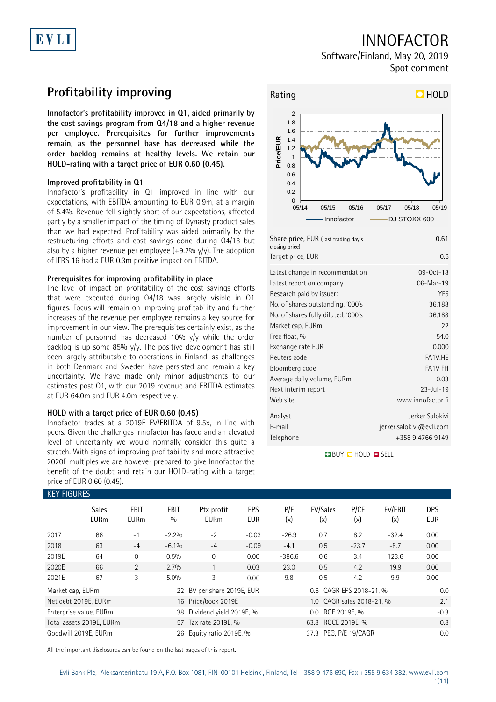# EVLI

## INNOFACTOR

Software/Finland, May 20, 2019 Spot comment

## **Profitability improving**

**Innofactor's profitability improved in Q1, aided primarily by the cost savings program from Q4/18 and a higher revenue per employee. Prerequisites for further improvements remain, as the personnel base has decreased while the order backlog remains at healthy levels. We retain our HOLD-rating with a target price of EUR 0.60 (0.45).**

### **Improved profitability in Q1**

Innofactor's profitability in Q1 improved in line with our expectations, with EBITDA amounting to EUR 0.9m, at a margin of 5.4%. Revenue fell slightly short of our expectations, affected partly by a smaller impact of the timing of Dynasty product sales than we had expected. Profitability was aided primarily by the restructuring efforts and cost savings done during Q4/18 but also by a higher revenue per employee  $(+9.2\%$  y/y). The adoption of IFRS 16 had a EUR 0.3m positive impact on EBITDA.

### **Prerequisites for improving profitability in place**

The level of impact on profitability of the cost savings efforts that were executed during Q4/18 was largely visible in Q1 figures. Focus will remain on improving profitability and further increases of the revenue per employee remains a key source for improvement in our view. The prerequisites certainly exist, as the number of personnel has decreased 10% y/y while the order backlog is up some 85%  $y/y$ . The positive development has still been largely attributable to operations in Finland, as challenges in both Denmark and Sweden have persisted and remain a key uncertainty. We have made only minor adjustments to our estimates post Q1, with our 2019 revenue and EBITDA estimates at EUR 64.0m and EUR 4.0m respectively.

### **HOLD with a target price of EUR 0.60 (0.45)**

Innofactor trades at a 2019E EV/EBITDA of 9.5x, in line with peers. Given the challenges Innofactor has faced and an elevated level of uncertainty we would normally consider this quite a stretch. With signs of improving profitability and more attractive 2020E multiples we are however prepared to give Innofactor the benefit of the doubt and retain our HOLD-rating with a target price of EUR 0.60 (0.45).



**BUY QHOLD SELL** 

| <b>KEY FIGURES</b>           |                             |                     |                    |                                                   |                          |            |                           |             |                |                   |  |
|------------------------------|-----------------------------|---------------------|--------------------|---------------------------------------------------|--------------------------|------------|---------------------------|-------------|----------------|-------------------|--|
|                              | <b>Sales</b><br><b>EURm</b> | EBIT<br><b>EURm</b> | <b>EBIT</b><br>0/0 | Ptx profit<br><b>EURm</b>                         | <b>EPS</b><br><b>EUR</b> | P/E<br>(x) | EV/Sales<br>(x)           | P/CF<br>(x) | EV/EBIT<br>(x) | <b>DPS</b><br>EUR |  |
| 2017                         | 66                          | $-1$                | $-2.2%$            | $-2$                                              | $-0.03$                  | $-26.9$    | 0.7                       | 8.2         | $-32.4$        | 0.00              |  |
| 2018                         | 63                          | $-4$                | $-6.1\%$           | $-4$                                              | $-0.09$                  | $-4.1$     | 0.5                       | $-23.7$     | $-8.7$         | 0.00              |  |
| 2019E                        | 64                          | $\mathbf{0}$        | 0.5%               | $\Omega$                                          | 0.00                     | $-386.6$   | 0.6                       | 3.4         | 123.6          | 0.00              |  |
| 2020E                        | 66                          | 2                   | 2.7%               |                                                   | 0.03                     | 23.0       | 0.5                       | 4.2         | 19.9           | 0.00              |  |
| 2021E                        | 67                          | 3                   | $5.0\%$            | 3                                                 | 0.06                     | 9.8        | 0.5                       | 4.2         | 9.9            | 0.00              |  |
| Market cap, EURm             |                             |                     |                    | 22 BV per share 2019E, EUR                        |                          |            | 0.6 CAGR EPS 2018-21, %   |             |                | 0.0               |  |
| Net debt 2019E, EURm         |                             |                     |                    | 16 Price/book 2019E                               |                          |            | 1.0 CAGR sales 2018-21, % | 2.1         |                |                   |  |
| Enterprise value, EURm<br>38 |                             |                     |                    | Dividend yield 2019E, %                           |                          |            | 0.0 ROE 2019E, %          |             |                |                   |  |
| Total assets 2019E, EURm     |                             |                     |                    | 57 Tax rate 2019E, %                              |                          |            | 63.8 ROCE 2019E, %        |             |                |                   |  |
| Goodwill 2019E, EURm         |                             |                     |                    | 37.3 PEG, P/E 19/CAGR<br>26 Equity ratio 2019E, % |                          |            |                           |             |                | 0.0               |  |

All the important disclosures can be found on the last pages of this report.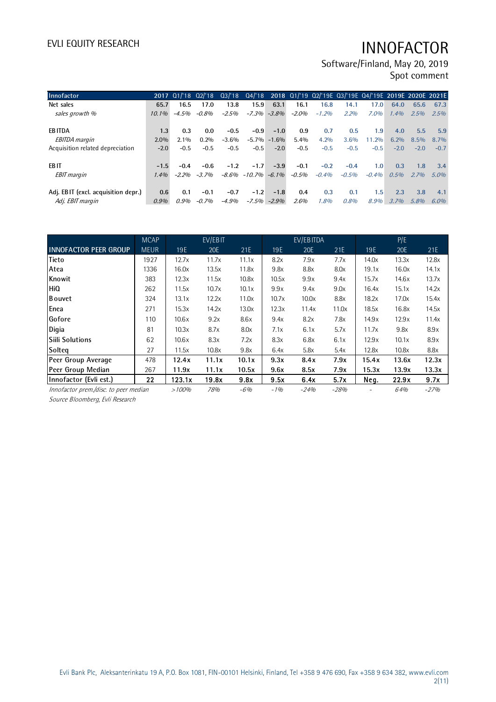Software/Finland, May 20, 2019 Spot comment

| Innofactor                          |          | 2017 01/'18 02/'18 |         |         |                         |                 |         |         | 03/'18 04/'18 2018 01/'19 02/'19E 03/'19E 04/'19E 2019E 2020E 2021E |         |        |         |         |
|-------------------------------------|----------|--------------------|---------|---------|-------------------------|-----------------|---------|---------|---------------------------------------------------------------------|---------|--------|---------|---------|
| Net sales                           | 65.7     | 16.5               | 17.0    | 13.8    | 15.9                    | 63.1            | 16.1    | 16.8    | 14.1                                                                | 17.0    | 64.0   | 65.6    | 67.3    |
| sales growth %                      | $10.1\%$ | $-4.5%$            | $-0.8%$ | $-2.5%$ |                         | $-7.3\% -3.8\%$ | $-2.0%$ | $-1.2%$ | 2.2%                                                                | 7.0%    | 1.4%   | 2.5%    | 2.5%    |
|                                     |          |                    |         |         |                         |                 |         |         |                                                                     |         |        |         |         |
| <b>EBITDA</b>                       | 1.3      | 0.3                | 0.0     | $-0.5$  | $-0.9$                  | $-1.0$          | 0.9     | 0.7     | 0.5                                                                 | 1.9     | 4.0    | 5.5     | 5.9     |
| <b>EBITDA</b> margin                | 2.0%     | $2.1\%$            | 0.2%    | $-3.6%$ | $-5.7\%$                | $-1.6%$         | 5.4%    | 4.2%    | 3.6%                                                                | 11.2%   | 6.2%   | $8.5\%$ | $8.7\%$ |
| Acquisition related depreciation    | $-2.0$   | $-0.5$             | $-0.5$  | $-0.5$  | $-0.5$                  | $-2.0$          | $-0.5$  | $-0.5$  | $-0.5$                                                              | $-0.5$  | $-2.0$ | $-2.0$  | $-0.7$  |
| EB IT                               | $-1.5$   | $-0.4$             | $-0.6$  | $-1.2$  | $-1.7$                  | $-3.9$          | $-0.1$  | $-0.2$  | $-0.4$                                                              | 1.0     | 0.3    | 1.8     | 3.4     |
| <b>EBIT</b> margin                  | 1.4%     | $-2.2%$            | $-3.7%$ |         | $-8.6\% -10.7\% -6.1\%$ |                 | $-0.5%$ | $-0.4%$ | $-0.5%$                                                             | $-0.4%$ | 0.5%   | 2.7%    | $5.0\%$ |
|                                     |          |                    |         |         |                         |                 |         |         |                                                                     |         |        |         |         |
| Adj. EBIT (excl. acquisition depr.) | 0.6      | 0.1                | $-0.1$  | $-0.7$  | $-1.2$                  | $-1.8$          | 0.4     | 0.3     | 0.1                                                                 | 1.5     | 2.3    | 3.8     | 4.1     |
| Adj. EBIT margin                    | 0.9%     | 0.9%               | $-0.7%$ | $-4.9%$ | $-7.5\%$                | $-2.9\%$        | 2.6%    | 1.8%    | 0.8%                                                                | 8.9%    | 3.7%   | 5.8%    | $6.0\%$ |

|                                       | <b>MCAP</b>       |        | EV/EBIT |       |       | EV/EBITDA |        |       | P/E   |        |
|---------------------------------------|-------------------|--------|---------|-------|-------|-----------|--------|-------|-------|--------|
| <b>INNOFACTOR PEER GROUP</b>          | <b>MEUR</b>       | 19E    | 20E     | 21E   | 19E   | 20E       | 21E    | 19E   | 20E   | 21E    |
| Tieto                                 | 1927              | 12.7x  | 11.7x   | 11.1x | 8.2x  | 7.9x      | 7.7x   | 14.0x | 13.3x | 12.8x  |
| Atea                                  | 1336              | 16.0x  | 13.5x   | 11.8x | 9.8x  | 8.8x      | 8.0x   | 19.1x | 16.0x | 14.1x  |
| Knowit                                | 383               | 12.3x  | 11.5x   | 10.8x | 10.5x | 9.9x      | 9.4x   | 15.7x | 14.6x | 13.7x  |
| <b>HiQ</b>                            | 262               | 11.5x  | 10.7x   | 10.1x | 9.9x  | 9.4x      | 9.0x   | 16.4x | 15.1x | 14.2x  |
| Bouvet                                | 324               | 13.1x  | 12.2x   | 11.0x | 10.7x | 10.0x     | 8.8x   | 18.2x | 17.0x | 15.4x  |
| Enea                                  | 271               | 15.3x  | 14.2x   | 13.0x | 12.3x | 11.4x     | 11.0x  | 18.5x | 16.8x | 14.5x  |
| Gofore                                | 110               | 10.6x  | 9.2x    | 8.6x  | 9.4x  | 8.2x      | 7.8x   | 14.9x | 12.9x | 11.4x  |
| Digia                                 | 81                | 10.3x  | 8.7x    | 8.0x  | 7.1x  | 6.1x      | 5.7x   | 11.7x | 9.8x  | 8.9x   |
| lSiili Solutions                      | 62                | 10.6x  | 8.3x    | 7.2x  | 8.3x  | 6.8x      | 6.1x   | 12.9x | 10.1x | 8.9x   |
| Solteg                                | 27                | 11.5x  | 10.8x   | 9.8x  | 6.4x  | 5.8x      | 5.4x   | 12.8x | 10.8x | 8.8x   |
| Peer Group Average                    | 478               | 12.4x  | 11.1x   | 10.1x | 9.3x  | 8.4x      | 7.9x   | 15.4x | 13.6x | 12.3x  |
| Peer Group Median                     | 267               | 11.9x  | 11.1x   | 10.5x | 9.6x  | 8.5x      | 7.9x   | 15.3x | 13.9x | 13.3x  |
| Innofactor (Evli est.)                | $22 \overline{ }$ | 123.1x | 19.8x   | 9.8x  | 9.5x  | 6.4x      | 5.7x   | Neg.  | 22.9x | 9.7x   |
| Innofactor prem./disc. to peer median |                   | >100%  | 78%     | $-6%$ | $-1%$ | $-24%$    | $-28%$ |       | 64%   | $-27%$ |

Source Bloomberg, Evli Research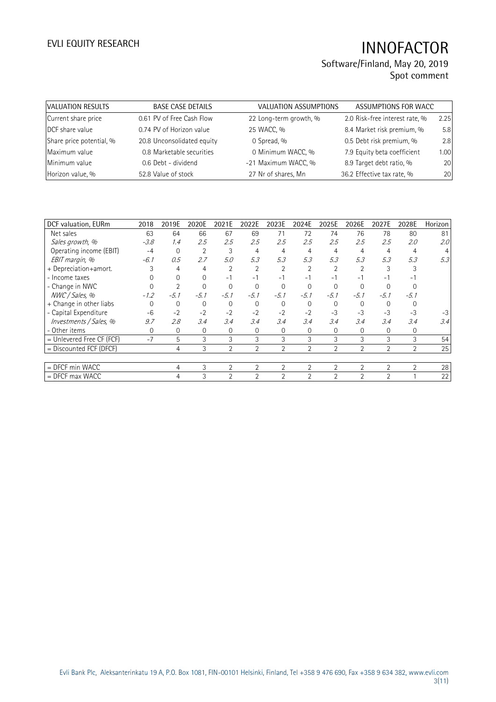| VALUATION RESULTS        | <b>BASE CASE DETAILS</b>   | <b>VALUATION ASSUMPTIONS</b> | ASSUMPTIONS FOR WACC           |      |
|--------------------------|----------------------------|------------------------------|--------------------------------|------|
| Current share price      | 0.61 PV of Free Cash Flow  | 22 Long-term growth, %       | 2.0 Risk-free interest rate, % | 2.25 |
| DCF share value          | 0.74 PV of Horizon value   | 25 WACC, %                   | 8.4 Market risk premium, %     | 5.8  |
| Share price potential, % | 20.8 Unconsolidated equity | 0 Spread, %                  | 0.5 Debt risk premium, %       | 2.8  |
| Maximum value            | 0.8 Marketable securities  | 0 Minimum WACC, %            | 7.9 Equity beta coefficient    | 1.00 |
| Minimum value            | 0.6 Debt - dividend        | -21 Maximum WACC, %          | 8.9 Target debt ratio, %       | 20   |
| Horizon value, %         | 52.8 Value of stock        | 27 Nr of shares, Mn          | 36.2 Effective tax rate, %     | 20   |

| DCF valuation, EURm         | 2018   | 2019E        | 2020E    | 2021E          | 2022E          | 2023E          | 2024E          | 2025E          | 2026E          | 2027E          | 2028E          | Horizon |
|-----------------------------|--------|--------------|----------|----------------|----------------|----------------|----------------|----------------|----------------|----------------|----------------|---------|
| Net sales                   | 63     | 64           | 66       | 67             | 69             | 71             | 72             | 74             | 76             | 78             | 80             | 81      |
| Sales growth, %             | $-3.8$ | 1.4          | 2.5      | 2.5            | 2.5            | 2.5            | 2.5            | 2.5            | 2.5            | 2.5            | 2.0            | 2.0     |
| Operating income (EBIT)     | $-4$   | $\mathbf{0}$ | 2        | 3              | 4              | 4              | 4              | 4              | 4              | 4              | 4              |         |
| EBIT margin, %              | $-6.1$ | 0.5          | 2.7      | 5.0            | 5.3            | 5.3            | 5.3            | 5.3            | 5.3            | 5.3            | 5.3            | 5.3     |
| + Depreciation+amort.       |        | 4            | 4        | 2              | 2              |                | 2              |                |                |                |                |         |
| - Income taxes              |        |              | $\Omega$ | $-1$           | $-1$           | $-1$           | $-1$           | - 1            | - 1            | - 1            | Ξ.             |         |
| - Change in NWC             |        |              | $\Omega$ |                | $\Omega$       | $\Omega$       |                | 0              |                |                |                |         |
| NWC / Sales, %              | $-1.2$ | $-5.1$       | $-5.1$   | $-5.1$         | $-5.1$         | $-5.1$         | $-5.1$         | $-5.1$         | $-5.1$         | $-5.1$         | $-5.1$         |         |
| + Change in other liabs     | 0      | 0            | $\Omega$ |                | 0              | $\Omega$       | $\Omega$       | 0              | $\Omega$       | 0              |                |         |
| - Capital Expenditure       | $-6$   | $-2$         | $-2$     | $-2$           | $-2$           | $-2$           | $-2$           | $-3$           | $-3$           | $-3$           | $-3$           | $-3$    |
| Investments / Sales, %      | 9.7    | 2.8          | 3.4      | 3.4            | 3.4            | 3.4            | 3.4            | 3.4            | 3.4            | 3.4            | 3.4            | 3.4     |
| - Other items               | 0      | 0            | 0        | 0              | 0              | $\Omega$       | 0              | 0              | 0              | 0              | 0              |         |
| $=$ Unlevered Free CF (FCF) | $-7$   | 5            | 3        | 3              | 3              | 3              | 3              | 3              | 3              | 3              | 3              | 54      |
| = Discounted FCF (DFCF)     |        | 4            | 3        | $\overline{2}$ | $\overline{2}$ | $\overline{2}$ | $\overline{2}$ | $\overline{2}$ | $\overline{2}$ | $\overline{2}$ | 2              | 25      |
|                             |        |              |          |                |                |                |                |                |                |                |                |         |
| = DFCF min WACC             |        | 4            | 3        | $\mathcal{P}$  | 2              | 2              | $\overline{2}$ | $\overline{2}$ | $\overline{2}$ | $\overline{2}$ | $\overline{2}$ | 28      |
| $=$ DFCF max WACC           |        | 4            | 3        | $\overline{2}$ | 2              | 2              | $\overline{2}$ | $\overline{2}$ | 2              | $\overline{2}$ |                | 22      |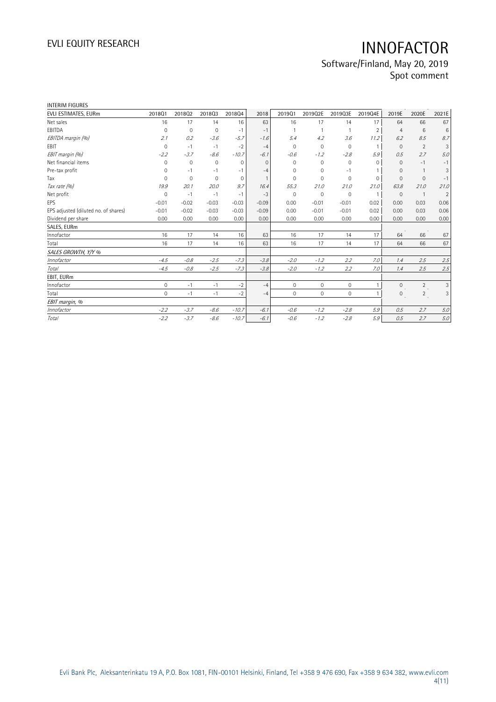| INTERIM FIGURES                      |             |             |              |             |          |              |             |             |                |                |                |                |
|--------------------------------------|-------------|-------------|--------------|-------------|----------|--------------|-------------|-------------|----------------|----------------|----------------|----------------|
| EVLI ESTIMATES, EURm                 | 201801      | 201802      | 201803       | 201804      | 2018     | 2019Q1       | 2019Q2E     | 2019Q3E     | 2019Q4E        | 2019E          | 2020E          | 2021E          |
| Net sales                            | 16          | 17          | 14           | 16          | 63       | 16           | 17          | 14          | 17             | 64             | 66             | 67             |
| EBITDA                               | 0           | $\Omega$    | $\mathbf 0$  | $-1$        | $-1$     |              |             | 1           | $\overline{2}$ | $\overline{4}$ | 6              | 6              |
| EBITDA margin (%)                    | 2.1         | 0.2         | $-3.6$       | $-5.7$      | $-1.6$   | 5.4          | 4.2         | 3.6         | 11.2           | 6.2            | 8.5            | 8.7            |
| EBIT                                 | $\mathbf 0$ | $-1$        | $-1$         | $-2$        | $-4$     | $\Omega$     | 0           | 0           | $\mathbf{1}$   | $\Omega$       | 2              | 3              |
| EBIT margin (%)                      | $-2.2$      | $-3.7$      | $-8.6$       | $-10.7$     | $-6.1$   | $-0.6$       | $-1.2$      | $-2.8$      | 5.9            | 0.5            | 2.7            | 5.0            |
| Net financial items                  | $\mathbf 0$ | $\mathbf 0$ | $\mathbf{0}$ | 0           | $\Omega$ | $\mathbf{0}$ | 0           | 0           | $\Omega$       | $\Omega$       | $-1$           | $-1$           |
| Pre-tax profit                       | 0           | $-1$        | $-1$         | $-1$        | $-4$     | 0            | 0           | $-1$        |                | $\mathbf{0}$   |                | 3              |
| Tax                                  | $\Omega$    | $\Omega$    | $\Omega$     | $\mathbf 0$ |          | $\Omega$     | $\Omega$    | $\Omega$    | $\Omega$       | $\Omega$       | $\mathbf{0}$   | $-1$           |
| Tax rate (%)                         | 19.9        | 20.1        | 20.0         | 9.7         | 16.4     | 55.3         | 21.0        | 21.0        | 21.0           | 63.8           | 21.0           | 21.0           |
| Net profit                           | $\mathbf 0$ | $-1$        | $-1$         | $-1$        | $-3$     | $\mathbf 0$  | $\mathbf 0$ | $\mathbf 0$ | $\overline{1}$ | $\mathbf{0}$   | $\overline{1}$ | $\overline{2}$ |
| EPS                                  | $-0.01$     | $-0.02$     | $-0.03$      | $-0.03$     | $-0.09$  | 0.00         | $-0.01$     | $-0.01$     | 0.02           | 0.00           | 0.03           | 0.06           |
| EPS adjusted (diluted no. of shares) | $-0.01$     | $-0.02$     | $-0.03$      | $-0.03$     | $-0.09$  | 0.00         | $-0.01$     | $-0.01$     | 0.02           | 0.00           | 0.03           | 0.06           |
| Dividend per share                   | 0.00        | 0.00        | 0.00         | 0.00        | 0.00     | 0.00         | 0.00        | 0.00        | 0.00           | 0.00           | 0.00           | 0.00           |
| SALES, EURm                          |             |             |              |             |          |              |             |             |                |                |                |                |
| Innofactor                           | 16          | 17          | 14           | 16          | 63       | 16           | 17          | 14          | 17             | 64             | 66             | 67             |
| Total                                | 16          | 17          | 14           | 16          | 63       | 16           | 17          | 14          | 17             | 64             | 66             | 67             |
| SALES GROWTH, Y/Y %                  |             |             |              |             |          |              |             |             |                |                |                |                |
| Innofactor                           | $-4.5$      | $-0.8$      | $-2.5$       | $-7.3$      | $-3.8$   | $-2.0$       | $-1.2$      | 2.2         | 7.0            | 1.4            | 2.5            | 2.5            |
| Total                                | $-4.5$      | $-0.8$      | $-2.5$       | $-7.3$      | $-3.8$   | $-2.0$       | $-1.2$      | 2.2         | 7.0            | 1.4            | 2.5            | 2.5            |
| EBIT, EURm                           |             |             |              |             |          |              |             |             |                |                |                |                |
| Innofactor                           | $\mathbf 0$ | $-1$        | $-1$         | $-2$        | $-4$     | $\mathbf{0}$ | $\mathbf 0$ | $\mathbf 0$ |                | $\mathbf{0}$   | $\overline{2}$ | 3              |
| Total                                | $\Omega$    | $-1$        | $-1$         | $-2$        | $-4$     | $\Omega$     | $\Omega$    | $\mathbf 0$ |                | $\mathbf{0}$   | $\overline{2}$ | $\mathfrak{Z}$ |
| EBIT margin, %                       |             |             |              |             |          |              |             |             |                |                |                |                |
| Innofactor                           | $-2.2$      | $-3.7$      | $-8.6$       | $-10.7$     | $-6.1$   | $-0.6$       | $-1.2$      | $-2.8$      | 5.9            | 0.5            | 2.7            | 5.0            |
| Total                                | $-2.2$      | $-3.7$      | $-8.6$       | $-10.7$     | $-6.1$   | $-0.6$       | $-1.2$      | $-2.8$      | 5.9            | 0.5            | 2.7            | 5.0            |
|                                      |             |             |              |             |          |              |             |             |                |                |                |                |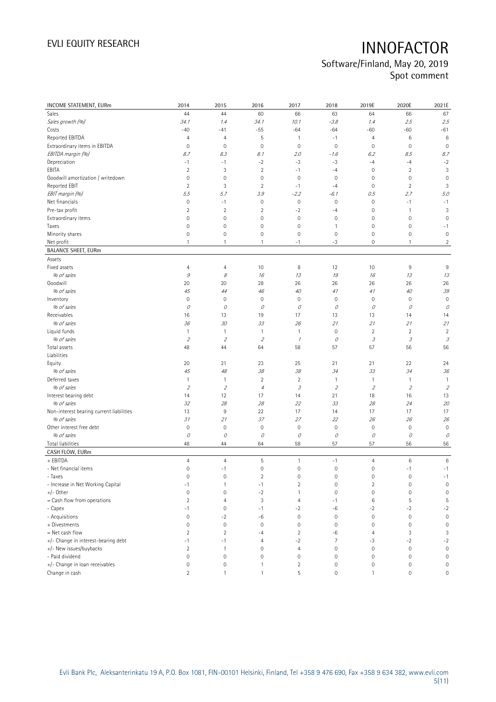| INCOME STATEMENT, EURm                   | 2014           | 2015                | 2016                | 2017           | 2018           | 2019E                                                    | 2020E                     | 2021E                      |
|------------------------------------------|----------------|---------------------|---------------------|----------------|----------------|----------------------------------------------------------|---------------------------|----------------------------|
| Sales                                    | 44             | 44                  | 60                  | 66             | 63             | 64                                                       | 66                        | 67                         |
| Sales growth (%)                         | 34.1           | 1.4                 | 34.1                | 10.1           | $-3.8$         | 1.4                                                      | 2.5                       | 2.5                        |
| Costs                                    | $-40$          | $-41$               | $-55$               | $-64$          | $-64$          | $-60$                                                    | $-60$                     | $-61$                      |
| Reported EBITDA                          | $\overline{4}$ | 4                   | 5                   | $\overline{1}$ | $-1$           | $\overline{4}$                                           | 6                         | 6                          |
| Extraordinary items in EBITDA            | $\mathbf 0$    | $\mathbf 0$         | $\circ$             | $\mathbf 0$    | $\mathbf 0$    | $\mathsf{O}\xspace$                                      | $\mathbf 0$               | $\mathbf 0$                |
| EBITDA margin (%)                        | 8.7            | 8.3                 | 8.1                 | 2.0            | $-1.6$         | 6.2                                                      | 8.5                       | 8.7                        |
| Depreciation                             | $-1$           | $-1$                | $-2$                | -3             | $-3$           | $-4$                                                     | $-4$                      | $-2$                       |
| EBITA                                    | $\sqrt{2}$     | 3                   | $\overline{2}$      | $-1$           | $-4$           | $\mathsf{O}\xspace$                                      | $\sqrt{2}$                | 3                          |
| Goodwill amortization / writedown        | $\mathbf 0$    | 0                   | $\mathsf{O}\xspace$ | $\mathbf 0$    | $\mathbf 0$    | 0                                                        | $\mathbf 0$               | $\mathbf 0$                |
| Reported EBIT                            | $\overline{2}$ | 3                   | $\overline{2}$      | $-1$           | $-4$           | 0                                                        | $\overline{2}$            | 3                          |
| EBIT margin (%)                          | 5.5            | 5.7                 | 3.9                 | $-2.2$         | $-6.1$         | 0.5                                                      | 2.7                       | 5.0                        |
| Net financials                           | $\mathbf 0$    | $-1$                | $\mathbf 0$         | $\mathbf 0$    | $\mathbf 0$    | $\mathsf{O}\xspace$                                      | $-1$                      | $-1$                       |
| Pre-tax profit                           | $\sqrt{2}$     | $\overline{2}$      | $\overline{2}$      | $-2$           | $-4$           | 0                                                        | $\mathbf{1}$              | 3                          |
| Extraordinary items                      | $\mathbf 0$    | 0                   | 0                   | $\mathbf 0$    | $\mathbf 0$    | 0                                                        | $\mathbf 0$               | $\mathbf 0$                |
| Taxes                                    | $\mathbf 0$    | 0                   | 0                   | $\mathbf 0$    | 1              | 0                                                        | $\mathbf 0$               | $-1$                       |
| Minority shares                          | $\mathbf 0$    | 0                   | 0                   | $\mathbf 0$    | 0              | 0                                                        | $\mathbf 0$               | $\mathsf{O}\xspace$        |
| Net profit                               | $\mathbf{1}$   | $\mathbf{1}$        | $\mathbf{1}$        | $-1$           | $-3$           | 0                                                        | $\mathbf{1}$              | $\overline{2}$             |
| <b>BALANCE SHEET, EURm</b>               |                |                     |                     |                |                |                                                          |                           |                            |
| Assets                                   |                |                     |                     |                |                |                                                          |                           |                            |
| Fixed assets                             | $\overline{4}$ | 4                   | 10                  | 8              | 12             | 10                                                       | 9                         | 9                          |
| % of sales                               | 9              | 8                   | 16                  | 13             | $19$           | 16                                                       | 13                        | 13                         |
| Goodwill                                 | 20             | 20                  | 28                  | 26             | 26             | 26                                                       | 26                        | 26                         |
| % of sales                               | 45             | 44                  | 46                  | 40             | 41             | 41                                                       | 40                        | 39                         |
| Inventory                                | $\mathbf 0$    | $\mathbf 0$         | $\mathsf{O}\xspace$ | $\mathbf 0$    | $\mathbf 0$    | $\mathbb O$                                              | $\mathbf 0$               | $\mathbf 0$                |
| % of sales                               | 0              | 0                   | 0                   | 0              | 0              | 0                                                        | 0                         | 0                          |
| Receivables                              | 16             | 13                  | 19                  | 17             | 13             | 13                                                       | 14                        | 14                         |
| % of sales                               | 36             | 30                  | 33                  | 26             | 21             | 21                                                       | 21                        | 21                         |
| Liquid funds                             | $\mathbf{1}$   | 1                   | $\mathbf{1}$        | $\mathbf{1}$   | $\mathbb O$    | $\sqrt{2}$                                               | $\overline{2}$            | $\overline{2}$             |
| % of sales                               | $\overline{2}$ | $\sqrt{2}$          | $\mathfrak z$       | $\mathcal I$   | 0              | $\mathcal{J}% _{G}(\theta)\equiv\mathcal{J}_{G}(\theta)$ | 3                         | $\ensuremath{\mathcal{S}}$ |
| Total assets                             | 48             | 44                  | 64                  | 58             | 57             | 57                                                       | 56                        | 56                         |
| Liabilities                              |                |                     |                     |                |                |                                                          |                           |                            |
| Equity                                   | 20             | 21                  | 23                  | 25             | 21             | 21                                                       | 22                        | 24                         |
| % of sales                               | 45             | $48\,$              | 38                  | 38             | 34             | 33                                                       | 34                        | 36                         |
| Deferred taxes                           | $\mathbf{1}$   | 1                   | $\overline{2}$      | $\overline{2}$ | $\mathbf{1}$   | $\mathbf{1}$                                             | $\mathbf{1}$              | $\mathbf{1}$               |
| % of sales                               | $\overline{2}$ | $\sqrt{2}$          | $\overline{4}$      | $\mathcal{I}$  | $\overline{2}$ | $\overline{2}$                                           | $\mathfrak z$             | $\overline{2}$             |
| Interest bearing debt                    | 14             | 12                  | 17                  | 14             | 21             | 18                                                       | 16                        | 13                         |
| % of sales                               | 32             | 28                  | 28                  | 22             | 33             | 28                                                       | 24                        | 20                         |
| Non-interest bearing current liabilities | 13             | 9                   | 22                  | 17             | 14             | 17                                                       | 17                        | 17                         |
| % of sales                               | 31             | 21                  | 37                  | 27             | 22             | 26                                                       | 26                        | 26                         |
| Other interest free debt                 | $\mathbf 0$    | $\mathsf{O}\xspace$ | $\mathbf 0$         | $\mathbb O$    | $\mathbf 0$    | $\mathbb O$                                              | $\mathbf 0$               | $\mathsf{O}\xspace$        |
| % of sales                               | 0              | 0                   | 0                   | $\mathcal O$   | 0              | $\mathcal O$                                             | 0                         | 0                          |
| Total liabilities                        | 48             | 44                  | 64                  | 58             | 57             | 57                                                       | 56                        | 56                         |
| CASH FLOW, EURm                          |                |                     |                     |                |                |                                                          |                           |                            |
| + EBITDA                                 | $\overline{4}$ | $\overline{4}$      | 5                   | $\overline{1}$ | $-1$           | $\overline{4}$                                           | 6                         | $\,6$                      |
| - Net financial items                    | $\mathbf 0$    | $-1$                | $\circ$             | $\mathbf 0$    | $\mathbf 0$    | $\mathsf{O}\xspace$                                      | $-1$                      | $-1$                       |
| - Taxes                                  | 0              | 0                   | 2                   | 0              | 0              | 0                                                        | 0                         | $-1$                       |
| - Increase in Net Working Capital        | $-1$           | $\mathbf{1}$        | $-1$                | $\overline{2}$ | 0              | $\overline{2}$                                           | $\mathbf 0$               | $\mathsf{O}\xspace$        |
| $+/-$ Other                              | $\mathbf 0$    | 0                   | $-2$                | $\mathbf{1}$   | $\mathbf 0$    | $\mathsf{O}\xspace$                                      | $\mathbf 0$               | $\mathbf 0$                |
| = Cash flow from operations              | $\overline{2}$ | $\overline{4}$      | 3                   | $\overline{4}$ | $-1$           | 6                                                        | 5                         | 5                          |
| - Capex                                  | -1             | 0                   | $-1$                | $-2$           | -6             | $-2$                                                     | $-2$                      | $-2$                       |
| - Acquisitions                           | $\mathbb O$    | $-2$                | -6                  | $\mathbf 0$    | $\mathbb O$    | $\mathbb O$                                              | $\mathbb O$               | $\mathbf 0$                |
| + Divestments                            | $\mathbf 0$    | $\mathbf 0$         | $\mathsf{O}\xspace$ | $\mathbf 0$    | $\mathbf 0$    | 0                                                        | $\mathbf 0$               | $\mathbf 0$                |
| = Net cash flow                          | $\overline{2}$ | $\sqrt{2}$          | $-4$                | $\overline{2}$ | -6             | 4                                                        | $\ensuremath{\mathsf{3}}$ | 3                          |
| +/- Change in interest-bearing debt      | -1             | $-1$                | 4                   | $-2$           | 7              | $-3$                                                     | $-2$                      | $-2$                       |
| +/- New issues/buybacks                  | $\overline{2}$ | 1                   | $\mathsf{O}\xspace$ | $\overline{4}$ | 0              | $\mathsf{O}\xspace$                                      | $\mathbf 0$               | $\mathbf 0$                |
| - Paid dividend                          | $\mathbf 0$    | $\mathbf 0$         | $\circ$             | $\mathbf 0$    | 0              | $\mathsf{O}\xspace$                                      | $\mathbf 0$               | $\mathbf 0$                |
| +/- Change in loan receivables           | $\mathbf 0$    | 0                   | $\mathbf{1}$        | $\overline{2}$ | 0              | 0                                                        | $\mathbb O$               | $\mathsf{O}\xspace$        |
| Change in cash                           | $\overline{2}$ | $\mathbf{1}$        | $\mathbf{1}$        | 5              | $\mathbf 0$    | $\mathbf{1}$                                             | $\mathbf 0$               | 0                          |
|                                          |                |                     |                     |                |                |                                                          |                           |                            |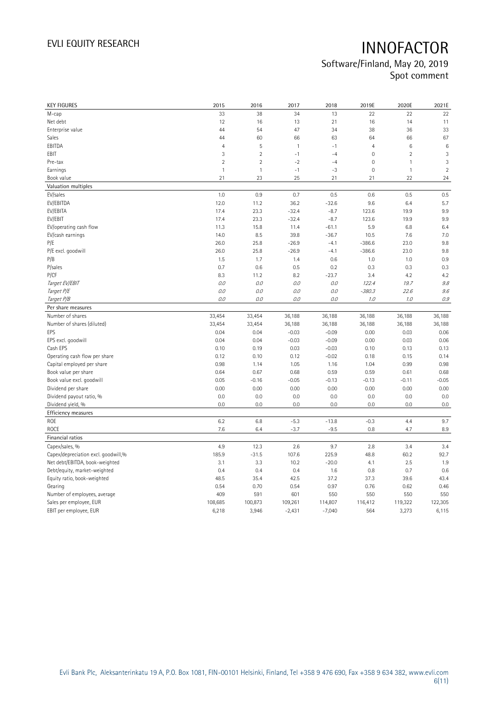| <b>KEY FIGURES</b>                  | 2015           | 2016           | 2017         | 2018     | 2019E               | 2020E          | 2021E        |
|-------------------------------------|----------------|----------------|--------------|----------|---------------------|----------------|--------------|
| M-cap                               | 33             | 38             | 34           | 13       | 22                  | 22             | 22           |
| Net debt                            | 12             | 16             | 13           | 21       | 16                  | 14             | 11           |
| Enterprise value                    | 44             | 54             | 47           | 34       | 38                  | 36             | 33           |
| Sales                               | 44             | 60             | 66           | 63       | 64                  | 66             | 67           |
| EBITDA                              | $\overline{4}$ | 5              | $\mathbf{1}$ | $-1$     | $\overline{4}$      | 6              | $\,6$        |
| EBIT                                | $\mathbf{3}$   | $\overline{2}$ | $-1$         | $-4$     | $\mathbb O$         | $\overline{2}$ | $\sqrt{3}$   |
| Pre-tax                             | $\overline{2}$ | $\overline{2}$ | $-2$         | $-4$     | $\mathsf{O}\xspace$ | 1              | $\mathbf{3}$ |
| Earnings                            | $\overline{1}$ | $\mathbf{1}$   | $-1$         | $-3$     | $\mathbb O$         | $\mathbf{1}$   | $\sqrt{2}$   |
| Book value                          | 21             | 23             | 25           | 21       | 21                  | 22             | 24           |
| Valuation multiples                 |                |                |              |          |                     |                |              |
| EV/sales                            | 1.0            | 0.9            | 0.7          | 0.5      | 0.6                 | 0.5            | 0.5          |
| EV/EBITDA                           | 12.0           | 11.2           | 36.2         | $-32.6$  | 9.6                 | 6.4            | 5.7          |
| EV/EBITA                            | 17.4           | 23.3           | $-32.4$      | $-8.7$   | 123.6               | 19.9           | 9.9          |
| EV/EBIT                             | 17.4           | 23.3           | $-32.4$      | $-8.7$   | 123.6               | 19.9           | 9.9          |
| EV/operating cash flow              | 11.3           | 15.8           | 11.4         | $-61.1$  | 5.9                 | 6.8            | 6.4          |
| EV/cash earnings                    | 14.0           | 8.5            | 39.8         | $-36.7$  | 10.5                | 7.6            | 7.0          |
| P/E                                 | 26.0           | 25.8           | $-26.9$      | $-4.1$   | $-386.6$            | 23.0           | 9.8          |
| P/E excl. goodwill                  | 26.0           | 25.8           | $-26.9$      | $-4.1$   | $-386.6$            | 23.0           | 9.8          |
| P/B                                 | 1.5            | 1.7            | 1.4          | 0.6      | 1.0                 | 1.0            | 0.9          |
| P/sales                             | 0.7            | 0.6            | 0.5          | 0.2      | 0.3                 | 0.3            | 0.3          |
| P/CF                                | 8.3            | 11.2           | 8.2          | $-23.7$  | 3.4                 | 4.2            | 4.2          |
| Target EV/EBIT                      | 0.0            | O.O            | 0.0          | 0.0      | 122.4               | 19.7           | 9.8          |
| Target P/E                          | 0.0            | 0.0            | 0.0          | 0.0      | $-380.3$            | 22.6           | 9.6          |
| Target P/B                          | 0.0            | 0.0            | 0.0          | 0.0      | 1.0                 | 1.0            | $0.9\,$      |
| Per share measures                  |                |                |              |          |                     |                |              |
| Number of shares                    | 33,454         | 33,454         | 36,188       | 36,188   | 36,188              | 36,188         | 36,188       |
| Number of shares (diluted)          | 33,454         | 33,454         | 36,188       | 36,188   | 36,188              | 36,188         | 36,188       |
| EPS                                 | 0.04           | 0.04           | $-0.03$      | $-0.09$  | 0.00                | 0.03           | 0.06         |
| EPS excl. goodwill                  | 0.04           | 0.04           | $-0.03$      | $-0.09$  | 0.00                | 0.03           | 0.06         |
| Cash EPS                            | 0.10           | 0.19           | 0.03         | $-0.03$  | 0.10                | 0.13           | 0.13         |
| Operating cash flow per share       | 0.12           | 0.10           | 0.12         | $-0.02$  | 0.18                | 0.15           | 0.14         |
| Capital employed per share          | 0.98           | 1.14           | 1.05         | 1.16     | 1.04                | 0.99           | 0.98         |
| Book value per share                | 0.64           | 0.67           | 0.68         | 0.59     | 0.59                | 0.61           | 0.68         |
| Book value excl. goodwill           | 0.05           | $-0.16$        | $-0.05$      | $-0.13$  | $-0.13$             | $-0.11$        | $-0.05$      |
| Dividend per share                  | 0.00           | 0.00           | 0.00         | 0.00     | 0.00                | 0.00           | 0.00         |
| Dividend payout ratio, %            | 0.0            | 0.0            | 0.0          | 0.0      | 0.0                 | 0.0            | 0.0          |
| Dividend yield, %                   | 0.0            | 0.0            | 0.0          | 0.0      | 0.0                 | 0.0            | 0.0          |
| Efficiency measures                 |                |                |              |          |                     |                |              |
| ROE                                 | 6.2            | 6.8            | $-5.3$       | $-13.8$  | $-0.3$              | 4.4            | 9.7          |
| ROCE                                | 7.6            | 6.4            | $-3.7$       | $-9.5$   | 0.8                 | 4.7            | 8.9          |
| Financial ratios                    |                |                |              |          |                     |                |              |
| Capex/sales, %                      | 4.9            | 12.3           | 2.6          | 9.7      | 2.8                 | 3.4            | 3.4          |
| Capex/depreciation excl. goodwill,% | 185.9          | $-31.5$        | 107.6        | 225.9    | 48.8                | 60.2           | 92.7         |
| Net debt/EBITDA, book-weighted      | 3.1            | 3.3            | 10.2         | $-20.0$  | 4.1                 | 2.5            | 1.9          |
| Debt/equity, market-weighted        | 0.4            | 0.4            | 0.4          | 1.6      | 0.8                 | 0.7            | 0.6          |
| Equity ratio, book-weighted         | 48.5           | 35.4           | 42.5         | 37.2     | 37.3                | 39.6           | 43.4         |
| Gearing                             | 0.54           | 0.70           | 0.54         | 0.97     | 0.76                | 0.62           | 0.46         |
| Number of employees, average        | 409            | 591            | 601          | 550      | 550                 | 550            | 550          |
| Sales per employee, EUR             | 108,685        | 100,873        | 109,261      | 114,807  | 116,412             | 119,322        | 122,305      |
| EBIT per employee, EUR              | 6,218          | 3,946          | $-2,431$     | $-7,040$ | 564                 | 3,273          | 6,115        |
|                                     |                |                |              |          |                     |                |              |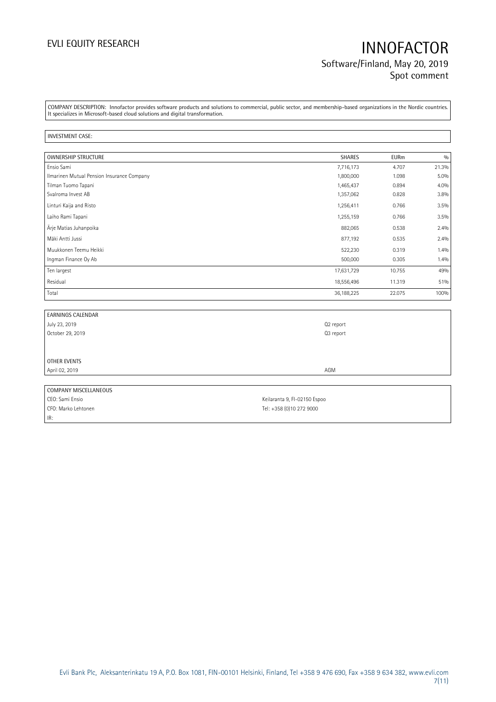## EVLI EQUITY RESEARCH **INNOFACTOR** Software/Finland, May 20, 2019 Spot comment

COMPANY DESCRIPTION: Innofactor provides software products and solutions to commercial, public sector, and membership-based organizations in the Nordic countries. It specializes in Microsoft-based cloud solutions and digital transformation.

### INVESTMENT CASE:

IR:

| <b>OWNERSHIP STRUCTURE</b>                 | SHARES     | <b>EURm</b> | 0/0     |
|--------------------------------------------|------------|-------------|---------|
| Ensio Sami                                 | 7,716,173  | 4.707       | 21.3%   |
| Ilmarinen Mutual Pension Insurance Company | 1,800,000  | 1.098       | $5.0\%$ |
| Tilman Tuomo Tapani                        | 1,465,437  | 0.894       | 4.0%    |
| Svalroma Invest AB                         | 1,357,062  | 0.828       | 3.8%    |
| Linturi Kaija and Risto                    | 1,256,411  | 0.766       | 3.5%    |
| Laiho Rami Tapani                          | 1,255,159  | 0.766       | 3.5%    |
| Ärje Matias Juhanpoika                     | 882,065    | 0.538       | 2.4%    |
| Mäki Antti Jussi                           | 877,192    | 0.535       | 2.4%    |
| Muukkonen Teemu Heikki                     | 522,230    | 0.319       | 1.4%    |
| Ingman Finance Oy Ab                       | 500,000    | 0.305       | 1.4%    |
| Ten largest                                | 17,631,729 | 10.755      | 49%     |
| Residual                                   | 18,556,496 | 11.319      | 51%     |
| Total                                      | 36,188,225 | 22.075      | 100%    |

| <b>EARNINGS CALENDAR</b> |           |
|--------------------------|-----------|
| July 23, 2019            | Q2 report |
| October 29, 2019         | Q3 report |
|                          |           |
|                          |           |
| OTHER EVENTS             |           |
| April 02, 2019           | AGM       |
|                          |           |
| COMPANY MISCELLANEOUS    |           |

CEO: Sami Ensio Casa et al. 2013 et al. 2014 et al. 2014 et al. 2014 et al. 2014 et al. 2014 et al. 2014 et al. 2014 et al. 2014 et al. 2014 et al. 2014 et al. 2014 et al. 2014 et al. 2014 et al. 2014 et al. 2014 et al. 20 CFO: Marko Lehtonen Tel: +358 (0)10 272 9000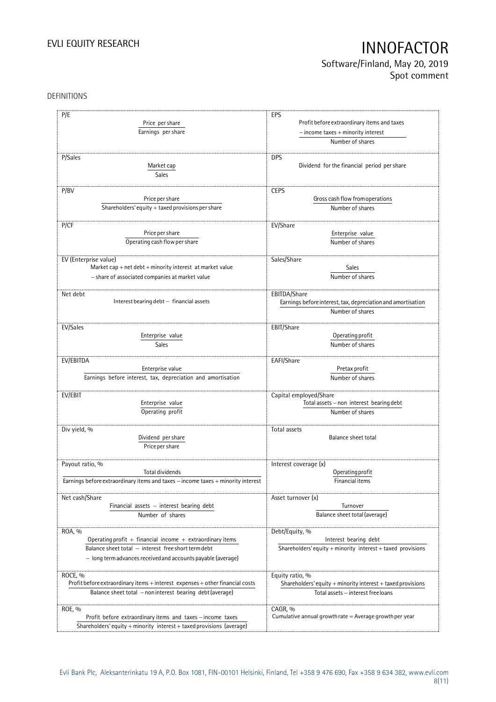Software/Finland, May 20, 2019 Spot comment

### DEFINITIONS

| P/E                                                                              | EPS                                                          |
|----------------------------------------------------------------------------------|--------------------------------------------------------------|
| Price per share                                                                  | Profit before extraordinary items and taxes                  |
|                                                                                  |                                                              |
| Earnings per share                                                               | $-$ income taxes $+$ minority interest                       |
|                                                                                  | Number of shares                                             |
| P/Sales                                                                          | <b>DPS</b>                                                   |
|                                                                                  |                                                              |
| Market cap                                                                       | Dividend for the financial period per share                  |
| <b>Sales</b>                                                                     |                                                              |
| P/BV                                                                             | <b>CEPS</b>                                                  |
| Price per share                                                                  | Gross cash flow from operations                              |
| Shareholders' equity $+$ taxed provisions per share                              | Number of shares                                             |
|                                                                                  |                                                              |
| P/CF                                                                             | EV/Share                                                     |
| Price per share                                                                  | Enterprise value                                             |
| Operating cash flow per share                                                    | Number of shares                                             |
|                                                                                  |                                                              |
| EV (Enterprise value)                                                            | Sales/Share                                                  |
| Market cap + net $debt$ + minority interest at market value                      | Sales                                                        |
|                                                                                  | Number of shares                                             |
| - share of associated companies at market value                                  |                                                              |
| Net debt                                                                         | EBITDA/Share                                                 |
| Interest bearing debt - financial assets                                         | Earnings before interest, tax, depreciation and amortisation |
|                                                                                  | Number of shares                                             |
|                                                                                  |                                                              |
| EV/Sales                                                                         | EBIT/Share                                                   |
| Enterprise value                                                                 | Operating profit                                             |
| Sales                                                                            | Number of shares                                             |
|                                                                                  |                                                              |
| EV/EBITDA                                                                        | EAFI/Share                                                   |
| Enterprise value                                                                 | Pretax profit                                                |
| Earnings before interest, tax, depreciation and amortisation                     | Number of shares                                             |
|                                                                                  |                                                              |
| EV/EBIT                                                                          | Capital employed/Share                                       |
| Enterprise value                                                                 | Total assets - non interest bearing debt                     |
| Operating profit                                                                 | Number of shares                                             |
|                                                                                  |                                                              |
| Div yield, %                                                                     | Total assets                                                 |
| Dividend per share                                                               | <b>Balance sheet total</b>                                   |
| Price per share                                                                  |                                                              |
|                                                                                  |                                                              |
| Payout ratio, %                                                                  | Interest coverage (x)                                        |
| Total dividends                                                                  | Operating profit                                             |
| Earnings before extraordinary items and taxes - income taxes + minority interest | Financial items                                              |
|                                                                                  |                                                              |
| Net cash/Share                                                                   | Asset turnover (x)                                           |
| Financial assets $-$ interest bearing debt                                       | Turnover                                                     |
| Number of shares                                                                 | Balance sheet total (average)                                |
|                                                                                  |                                                              |
| ROA, %                                                                           | Debt/Equity, %                                               |
| Operating profit $+$ financial income $+$ extraordinary items                    | Interest bearing debt                                        |
| Balance sheet total - interest free short term debt                              | Shareholders' equity + minority interest + taxed provisions  |
| - long term advances received and accounts payable (average)                     |                                                              |
|                                                                                  |                                                              |
| ROCE, %                                                                          | Equity ratio, %                                              |
| Profit before extraordinary items + interest expenses + other financial costs    | Shareholders' equity + minority interest + taxed provisions  |
| Balance sheet total - non interest bearing debt (average)                        | Total assets - interest free loans                           |
|                                                                                  |                                                              |
| ROE, %                                                                           | CAGR, %                                                      |
| Profit before extraordinary items and taxes - income taxes                       | Cumulative annual growth rate $=$ Average growth per year    |
| Shareholders' equity + minority interest + taxed provisions (average)            |                                                              |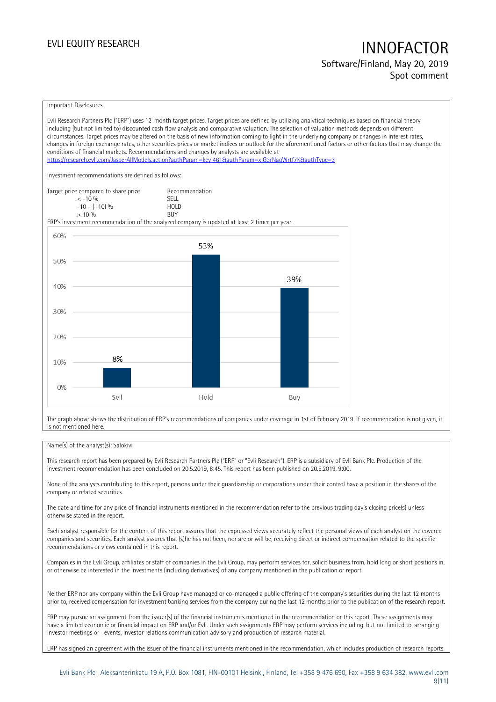Software/Finland, May 20, 2019 Spot comment

### Important Disclosures

Evli Research Partners Plc ("ERP") uses 12-month target prices. Target prices are defined by utilizing analytical techniques based on financial theory including (but not limited to) discounted cash flow analysis and comparative valuation. The selection of valuation methods depends on different circumstances. Target prices may be altered on the basis of new information coming to light in the underlying company or changes in interest rates, changes in foreign exchange rates, other securities prices or market indices or outlook for the aforementioned factors or other factors that may change the conditions of financial markets. Recommendations and changes by analysts are available at https://research.evli.com/JasperAllModels.action?authParam=key;461&authParam=x;G3rNagWrtf7K&tauthType=3 Investment recommendations are defined as follows: Target price compared to share price Recommendation<br>  $\leq -10\%$  SELL  $\langle 5, 10, 10 \rangle$  SELL<br>  $\langle -10, 1, 10 \rangle$   $\langle 6, 10 \rangle$   $\langle 10, 10 \rangle$  $-10 - (+10) \%$  HOL<br>  $> 10 \%$  RIJY  $> 10 \frac{0}{0}$ ERP's investment recommendation of the analyzed company is updated at least 2 timer per year. 60% 53% 50% 39% 40% 30% 20% 8% 10%  $0%$ Sell Hold Buy

The graph above shows the distribution of ERP's recommendations of companies under coverage in 1st of February 2019. If recommendation is not given, it is not mentioned here.

### Name(s) of the analyst(s): Salokivi

This research report has been prepared by Evli Research Partners Plc ("ERP" or "Evli Research"). ERP is a subsidiary of Evli Bank Plc. Production of the investment recommendation has been concluded on 20.5.2019, 8:45. This report has been published on 20.5.2019, 9:00.

None of the analysts contributing to this report, persons under their guardianship or corporations under their control have a position in the shares of the company or related securities.

The date and time for any price of financial instruments mentioned in the recommendation refer to the previous trading day's closing price(s) unless otherwise stated in the report.

Each analyst responsible for the content of this report assures that the expressed views accurately reflect the personal views of each analyst on the covered companies and securities. Each analyst assures that (s)he has not been, nor are or will be, receiving direct or indirect compensation related to the specific recommendations or views contained in this report.

Companies in the Evli Group, affiliates or staff of companies in the Evli Group, may perform services for, solicit business from, hold long or short positions in, or otherwise be interested in the investments (including derivatives) of any company mentioned in the publication or report.

Neither ERP nor any company within the Evli Group have managed or co-managed a public offering of the company's securities during the last 12 months prior to, received compensation for investment banking services from the company during the last 12 months prior to the publication of the research report.

ERP may pursue an assignment from the issuer(s) of the financial instruments mentioned in the recommendation or this report. These assignments may have a limited economic or financial impact on ERP and/or Evli. Under such assignments ERP may perform services including, but not limited to, arranging investor meetings or –events, investor relations communication advisory and production of research material.

ERP has signed an agreement with the issuer of the financial instruments mentioned in the recommendation, which includes production of research reports.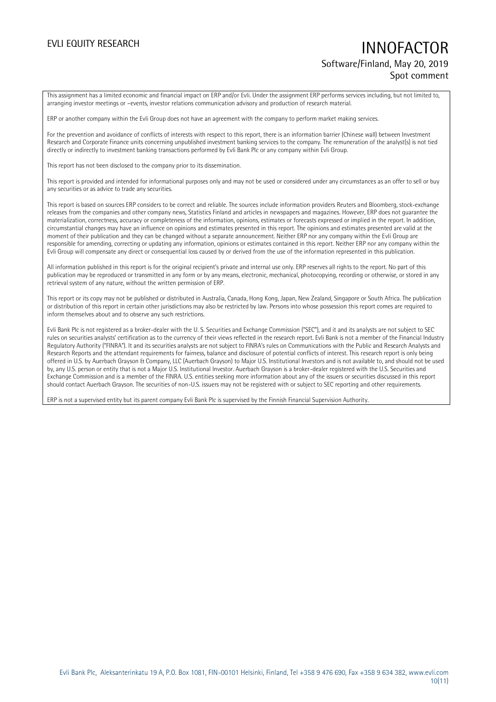## EVLI EQUITY RESEARCH **INNOFACTOR** Software/Finland, May 20, 2019 Spot comment

This assignment has a limited economic and financial impact on ERP and/or Evli. Under the assignment ERP performs services including, but not limited to, arranging investor meetings or –events, investor relations communication advisory and production of research material.

ERP or another company within the Evli Group does not have an agreement with the company to perform market making services.

For the prevention and avoidance of conflicts of interests with respect to this report, there is an information barrier (Chinese wall) between Investment Research and Corporate Finance units concerning unpublished investment banking services to the company. The remuneration of the analyst(s) is not tied directly or indirectly to investment banking transactions performed by Evli Bank Plc or any company within Evli Group.

This report has not been disclosed to the company prior to its dissemination.

This report is provided and intended for informational purposes only and may not be used or considered under any circumstances as an offer to sell or buy any securities or as advice to trade any securities.

This report is based on sources ERP considers to be correct and reliable. The sources include information providers Reuters and Bloomberg, stock-exchange releases from the companies and other company news, Statistics Finland and articles in newspapers and magazines. However, ERP does not guarantee the materialization, correctness, accuracy or completeness of the information, opinions, estimates or forecasts expressed or implied in the report. In addition, circumstantial changes may have an influence on opinions and estimates presented in this report. The opinions and estimates presented are valid at the moment of their publication and they can be changed without a separate announcement. Neither ERP nor any company within the Evli Group are responsible for amending, correcting or updating any information, opinions or estimates contained in this report. Neither ERP nor any company within the Evli Group will compensate any direct or consequential loss caused by or derived from the use of the information represented in this publication.

All information published in this report is for the original recipient's private and internal use only. ERP reserves all rights to the report. No part of this publication may be reproduced or transmitted in any form or by any means, electronic, mechanical, photocopying, recording or otherwise, or stored in any retrieval system of any nature, without the written permission of ERP.

This report or its copy may not be published or distributed in Australia, Canada, Hong Kong, Japan, New Zealand, Singapore or South Africa. The publication or distribution of this report in certain other jurisdictions may also be restricted by law. Persons into whose possession this report comes are required to inform themselves about and to observe any such restrictions.

Evli Bank Plc is not registered as a broker-dealer with the U. S. Securities and Exchange Commission ("SEC"), and it and its analysts are not subject to SEC rules on securities analysts' certification as to the currency of their views reflected in the research report. Evli Bank is not a member of the Financial Industry Regulatory Authority ("FINRA"). It and its securities analysts are not subject to FINRA's rules on Communications with the Public and Research Analysts and Research Reports and the attendant requirements for fairness, balance and disclosure of potential conflicts of interest. This research report is only being offered in U.S. by Auerbach Grayson & Company, LLC (Auerbach Grayson) to Major U.S. Institutional Investors and is not available to, and should not be used by, any U.S. person or entity that is not a Major U.S. Institutional Investor. Auerbach Grayson is a broker-dealer registered with the U.S. Securities and Exchange Commission and is a member of the FINRA. U.S. entities seeking more information about any of the issuers or securities discussed in this report should contact Auerbach Grayson. The securities of non-U.S. issuers may not be registered with or subject to SEC reporting and other requirements.

ERP is not a supervised entity but its parent company Evli Bank Plc is supervised by the Finnish Financial Supervision Authority.